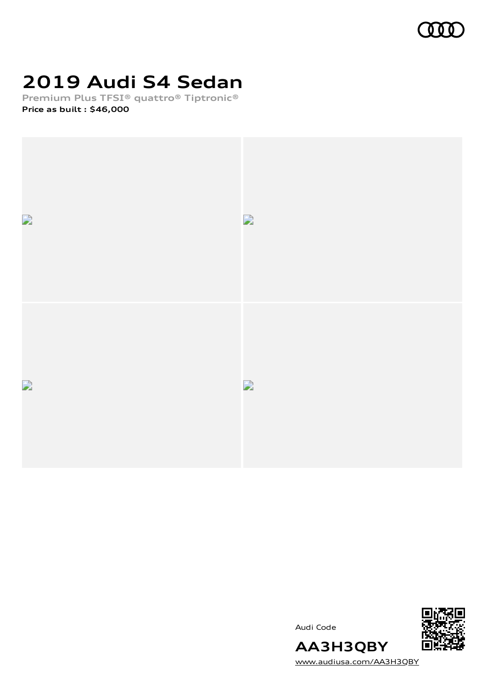

# **2019 Audi S4 Sedan**

**Premium Plus TFSI® quattro® Tiptronic® Price as built [:](#page-8-0) \$46,000**





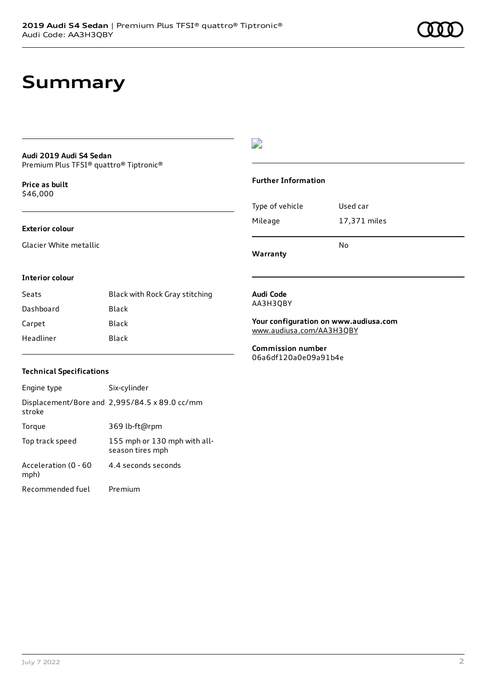### **Summary**

### **Audi 2019 Audi S4 Sedan**

Premium Plus TFSI® quattro® Tiptronic®

**Price as buil[t](#page-8-0)** \$46,000

#### **Exterior colour**

Glacier White metallic

#### $\overline{\phantom{a}}$

#### **Further Information**

|                 | No           |
|-----------------|--------------|
| Mileage         | 17,371 miles |
| Type of vehicle | Used car     |

**Warranty**

#### **Interior colour**

| Seats     | Black with Rock Gray stitching |
|-----------|--------------------------------|
| Dashboard | Black                          |
| Carpet    | Black                          |
| Headliner | Black                          |

#### **Audi Code** AA3H3QBY

**Your configuration on www.audiusa.com** [www.audiusa.com/AA3H3QBY](https://www.audiusa.com/AA3H3QBY)

**Commission number** 06a6df120a0e09a91b4e

#### **Technical Specifications**

| Engine type                  | Six-cylinder                                     |
|------------------------------|--------------------------------------------------|
| stroke                       | Displacement/Bore and 2,995/84.5 x 89.0 cc/mm    |
| Torque                       | 369 lb-ft@rpm                                    |
| Top track speed              | 155 mph or 130 mph with all-<br>season tires mph |
| Acceleration (0 - 60<br>mph) | 4.4 seconds seconds                              |
| Recommended fuel             | Premium                                          |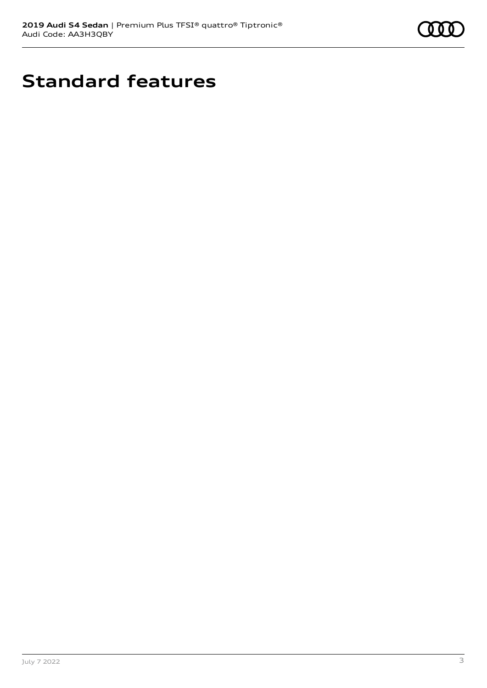

# **Standard features**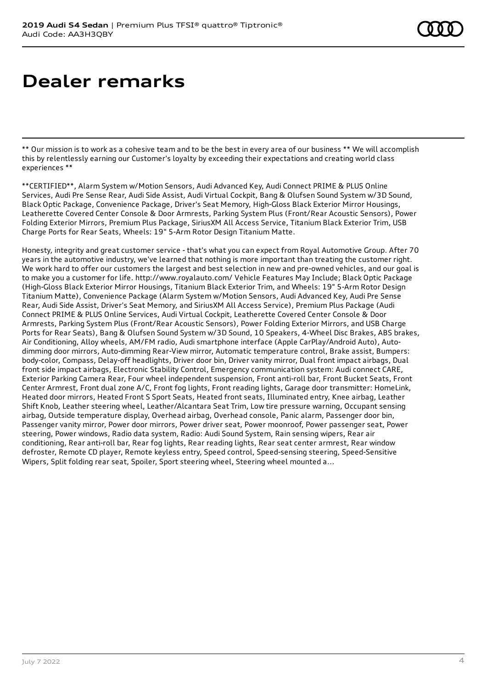# **Dealer remarks**

\*\* Our mission is to work as a cohesive team and to be the best in every area of our business \*\* We will accomplish this by relentlessly earning our Customer's loyalty by exceeding their expectations and creating world class experiences \*\*

\*\*CERTIFIED\*\*, Alarm System w/Motion Sensors, Audi Advanced Key, Audi Connect PRIME & PLUS Online Services, Audi Pre Sense Rear, Audi Side Assist, Audi Virtual Cockpit, Bang & Olufsen Sound System w/3D Sound, Black Optic Package, Convenience Package, Driver's Seat Memory, High-Gloss Black Exterior Mirror Housings, Leatherette Covered Center Console & Door Armrests, Parking System Plus (Front/Rear Acoustic Sensors), Power Folding Exterior Mirrors, Premium Plus Package, SiriusXM All Access Service, Titanium Black Exterior Trim, USB Charge Ports for Rear Seats, Wheels: 19" 5-Arm Rotor Design Titanium Matte.

Honesty, integrity and great customer service - that's what you can expect from Royal Automotive Group. After 70 years in the automotive industry, we've learned that nothing is more important than treating the customer right. We work hard to offer our customers the largest and best selection in new and pre-owned vehicles, and our goal is to make you a customer for life. http://www.royalauto.com/ Vehicle Features May Include; Black Optic Package (High-Gloss Black Exterior Mirror Housings, Titanium Black Exterior Trim, and Wheels: 19" 5-Arm Rotor Design Titanium Matte), Convenience Package (Alarm System w/Motion Sensors, Audi Advanced Key, Audi Pre Sense Rear, Audi Side Assist, Driver's Seat Memory, and SiriusXM All Access Service), Premium Plus Package (Audi Connect PRIME & PLUS Online Services, Audi Virtual Cockpit, Leatherette Covered Center Console & Door Armrests, Parking System Plus (Front/Rear Acoustic Sensors), Power Folding Exterior Mirrors, and USB Charge Ports for Rear Seats), Bang & Olufsen Sound System w/3D Sound, 10 Speakers, 4-Wheel Disc Brakes, ABS brakes, Air Conditioning, Alloy wheels, AM/FM radio, Audi smartphone interface (Apple CarPlay/Android Auto), Autodimming door mirrors, Auto-dimming Rear-View mirror, Automatic temperature control, Brake assist, Bumpers: body-color, Compass, Delay-off headlights, Driver door bin, Driver vanity mirror, Dual front impact airbags, Dual front side impact airbags, Electronic Stability Control, Emergency communication system: Audi connect CARE, Exterior Parking Camera Rear, Four wheel independent suspension, Front anti-roll bar, Front Bucket Seats, Front Center Armrest, Front dual zone A/C, Front fog lights, Front reading lights, Garage door transmitter: HomeLink, Heated door mirrors, Heated Front S Sport Seats, Heated front seats, Illuminated entry, Knee airbag, Leather Shift Knob, Leather steering wheel, Leather/Alcantara Seat Trim, Low tire pressure warning, Occupant sensing airbag, Outside temperature display, Overhead airbag, Overhead console, Panic alarm, Passenger door bin, Passenger vanity mirror, Power door mirrors, Power driver seat, Power moonroof, Power passenger seat, Power steering, Power windows, Radio data system, Radio: Audi Sound System, Rain sensing wipers, Rear air conditioning, Rear anti-roll bar, Rear fog lights, Rear reading lights, Rear seat center armrest, Rear window defroster, Remote CD player, Remote keyless entry, Speed control, Speed-sensing steering, Speed-Sensitive Wipers, Split folding rear seat, Spoiler, Sport steering wheel, Steering wheel mounted a...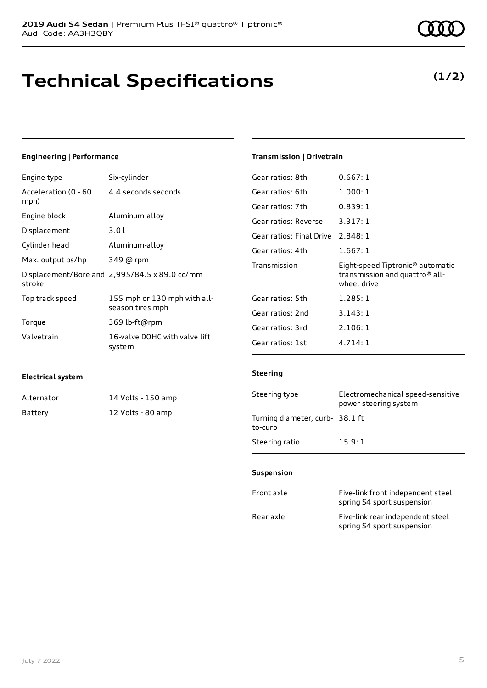# **Technical Specifications**

### Engine type Six-cylinder

**Engineering | Performance**

| Acceleration (0 - 60<br>mph) | 4.4 seconds seconds                              |
|------------------------------|--------------------------------------------------|
| Engine block                 | Aluminum-alloy                                   |
| Displacement                 | 3.01                                             |
| Cylinder head                | Aluminum-alloy                                   |
| Max. output ps/hp            | 349 @ rpm                                        |
| stroke                       | Displacement/Bore and 2,995/84.5 x 89.0 cc/mm    |
| Top track speed              | 155 mph or 130 mph with all-<br>season tires mph |
| Torque                       | 369 lb-ft@rpm                                    |
| Valvetrain                   | 16-valve DOHC with valve lift<br>system          |

#### **Transmission | Drivetrain**

| Gear ratios: 8th         | 0.667:1                                                                                                   |
|--------------------------|-----------------------------------------------------------------------------------------------------------|
| Gear ratios: 6th         | 1.000:1                                                                                                   |
| Gear ratios: 7th         | 0.839:1                                                                                                   |
| Gear ratios: Reverse     | 3.317:1                                                                                                   |
| Gear ratios: Final Drive | 2.848:1                                                                                                   |
| Gear ratios: 4th         | 1.667:1                                                                                                   |
|                          |                                                                                                           |
| Transmission             | Eight-speed Tiptronic <sup>®</sup> automatic<br>transmission and quattro <sup>®</sup> all-<br>wheel drive |
| Gear ratios: 5th         | 1.285:1                                                                                                   |
| Gear ratios: 2nd         | 3.143:1                                                                                                   |
| Gear ratios: 3rd         | 2.106:1                                                                                                   |

#### **Electrical system**

| Alternator | 14 Volts - 150 amp |
|------------|--------------------|
| Battery    | 12 Volts - 80 amp  |

|                                            | power steering system |
|--------------------------------------------|-----------------------|
| Turning diameter, curb- 38.1 ft<br>to-curb |                       |
| Steering ratio                             | 15.9:1                |
|                                            |                       |

Steering type Electromechanical speed-sensitive

#### **Suspension**

**Steering**

| Front axle | Five-link front independent steel<br>spring S4 sport suspension |
|------------|-----------------------------------------------------------------|
| Rear axle  | Five-link rear independent steel<br>spring S4 sport suspension  |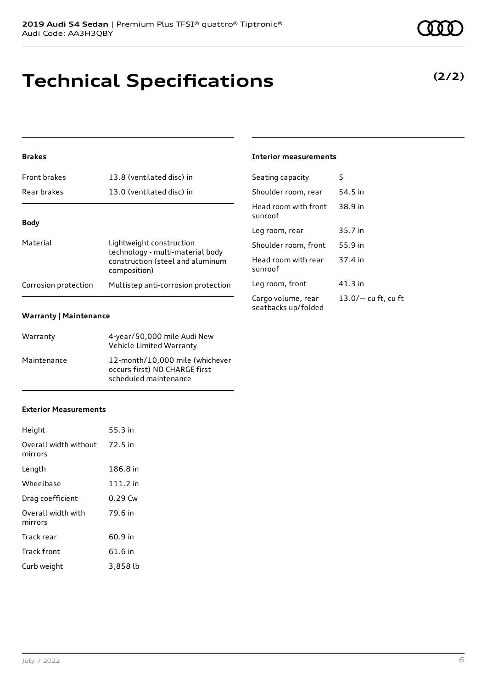### **Technical Specifications**

**2019 Audi S4 Sedan** | Premium Plus TFSI® quattro® Tiptronic®

#### **Brakes**

| <b>Front brakes</b>  | 13.8 (ventilated disc) in                                                                                        |
|----------------------|------------------------------------------------------------------------------------------------------------------|
| Rear brakes          | 13.0 (ventilated disc) in                                                                                        |
|                      |                                                                                                                  |
| <b>Body</b>          |                                                                                                                  |
| Material             | Lightweight construction<br>technology - multi-material body<br>construction (steel and aluminum<br>composition) |
| Corrosion protection | Multistep anti-corrosion protection                                                                              |

#### **Warranty | Maintenance**

| Warranty    | 4-year/50,000 mile Audi New<br>Vehicle Limited Warranty                                   |
|-------------|-------------------------------------------------------------------------------------------|
| Maintenance | 12-month/10,000 mile (whichever<br>occurs first) NO CHARGE first<br>scheduled maintenance |

#### **Exterior Measurements**

| Height                           | 55.3 in  |
|----------------------------------|----------|
| Overall width without<br>mirrors | 72.5 in  |
| Length                           | 186.8 in |
| Wheelbase                        | 111.2 in |
| Drag coefficient                 | 0.29 Cw  |
| Overall width with<br>mirrors    | 79.6 in  |
| Track rear                       | 60.9 in  |
| Track front                      | 61.6 in  |
| Curb weight                      | 3,858 lb |

#### July 7 2022 6

| Seating capacity                          | 5                     |
|-------------------------------------------|-----------------------|
| Shoulder room, rear                       | 54.5 in               |
| Head room with front<br>sunroof           | 38.9 in               |
| Leg room, rear                            | 35.7 in               |
| Shoulder room, front                      | 55.9 in               |
| Head room with rear<br>sunroof            | 37.4 in               |
| Leg room, front                           | $41.3$ in             |
| Cargo volume, rear<br>seatbacks up/folded | $13.0/-$ cu ft, cu ft |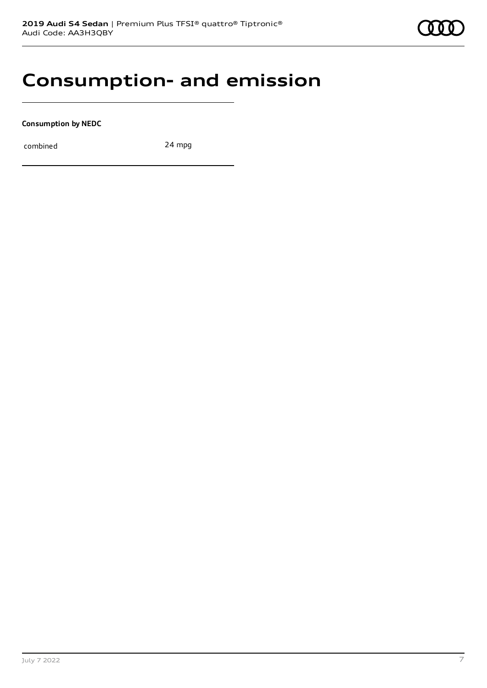### **Consumption- and emission**

**Consumption by NEDC**

combined 24 mpg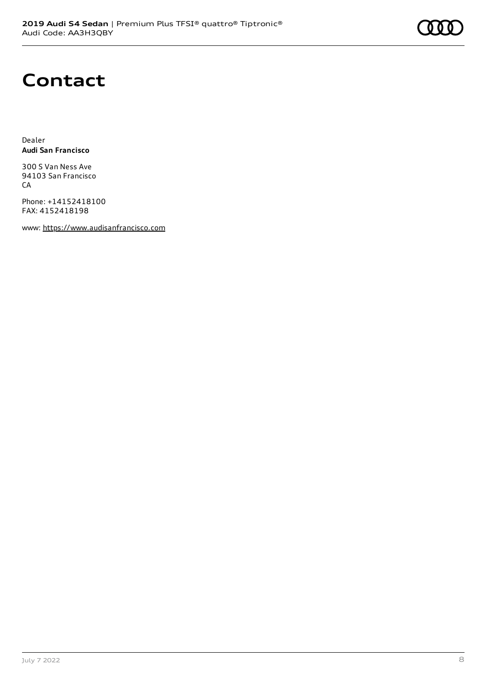# **Contact**

Dealer **Audi San Francisco**

300 S Van Ness Ave 94103 San Francisco CA

Phone: +14152418100 FAX: 4152418198

www: [https://www.audisanfrancisco.com](https://www.audisanfrancisco.com/)